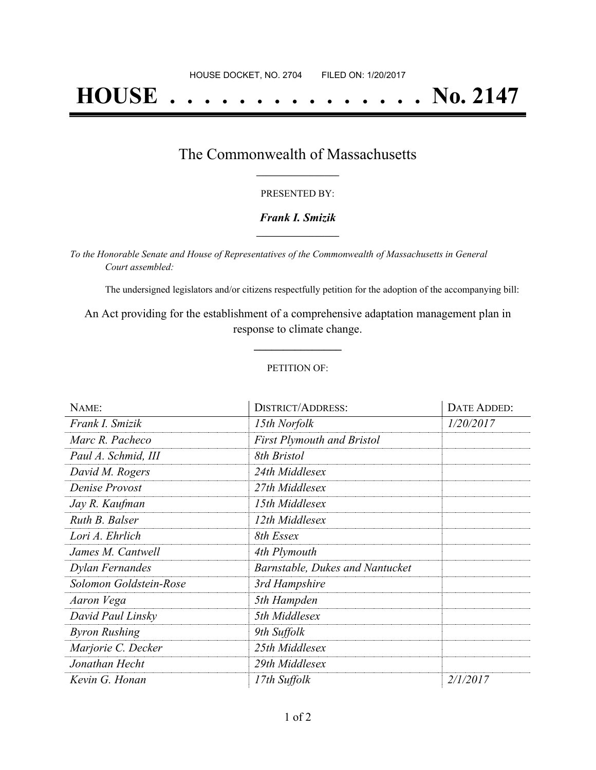# **HOUSE . . . . . . . . . . . . . . . No. 2147**

## The Commonwealth of Massachusetts **\_\_\_\_\_\_\_\_\_\_\_\_\_\_\_\_\_**

### PRESENTED BY:

## *Frank I. Smizik* **\_\_\_\_\_\_\_\_\_\_\_\_\_\_\_\_\_**

*To the Honorable Senate and House of Representatives of the Commonwealth of Massachusetts in General Court assembled:*

The undersigned legislators and/or citizens respectfully petition for the adoption of the accompanying bill:

An Act providing for the establishment of a comprehensive adaptation management plan in response to climate change.

**\_\_\_\_\_\_\_\_\_\_\_\_\_\_\_**

### PETITION OF:

| NAME:                  | <b>DISTRICT/ADDRESS:</b>          | DATE ADDED:     |
|------------------------|-----------------------------------|-----------------|
| Frank I. Smizik        | 15th Norfolk                      | 1/20/2017       |
| Marc R. Pacheco        | <b>First Plymouth and Bristol</b> |                 |
| Paul A. Schmid, III    | 8th Bristol                       |                 |
| David M. Rogers        | 24th Middlesex                    |                 |
| Denise Provost         | 27th Middlesex                    |                 |
| Jay R. Kaufman         | 15th Middlesex                    |                 |
| Ruth B. Balser         | 12th Middlesex                    |                 |
| Lori A. Ehrlich        | 8th Essex                         |                 |
| James M. Cantwell      | 4th Plymouth                      |                 |
| Dylan Fernandes        | Barnstable, Dukes and Nantucket   |                 |
| Solomon Goldstein-Rose | 3rd Hampshire                     |                 |
| Aaron Vega             | 5th Hampden                       |                 |
| David Paul Linsky      | 5th Middlesex                     |                 |
| <b>Byron Rushing</b>   | 9th Suffolk                       |                 |
| Marjorie C. Decker     | 25th Middlesex                    |                 |
| Jonathan Hecht         | 29th Middlesex                    |                 |
| Kevin G. Honan         | 17th Suffolk                      | <i>2/1/2017</i> |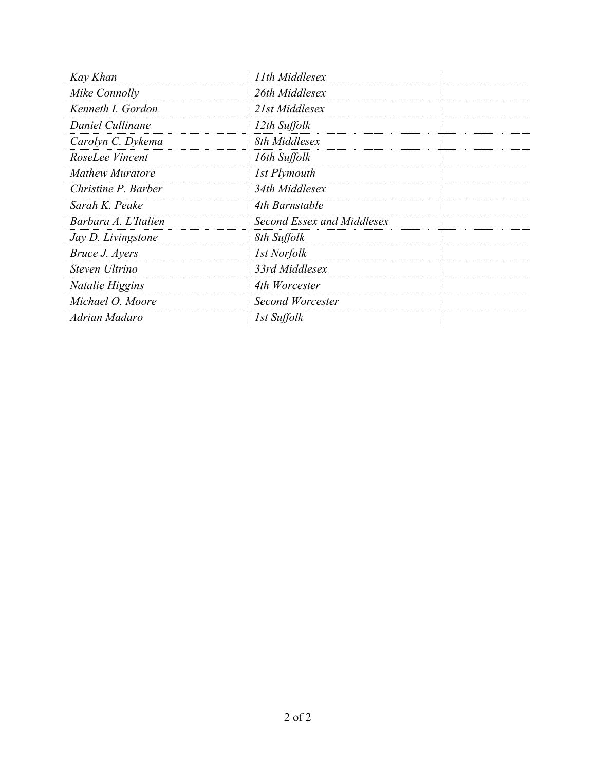| Kay Khan               | 11th Middlesex             |  |
|------------------------|----------------------------|--|
| Mike Connolly          | 26th Middlesex             |  |
| Kenneth I. Gordon      | 21st Middlesex             |  |
| Daniel Cullinane       | 12th Suffolk               |  |
| Carolyn C. Dykema      | 8th Middlesex              |  |
| RoseLee Vincent        | 16th Suffolk               |  |
| <b>Mathew Muratore</b> | 1st Plymouth               |  |
| Christine P. Barber    | 34th Middlesex             |  |
| Sarah K. Peake         | 4th Barnstable             |  |
| Barbara A. L'Italien   | Second Essex and Middlesex |  |
| Jay D. Livingstone     | 8th Suffolk                |  |
| Bruce J. Ayers         | 1st Norfolk                |  |
| Steven Ultrino         | 33rd Middlesex             |  |
| Natalie Higgins        | 4th Worcester              |  |
| Michael O. Moore       | Second Worcester           |  |
| Adrian Madaro          | 1st Suffolk                |  |
|                        |                            |  |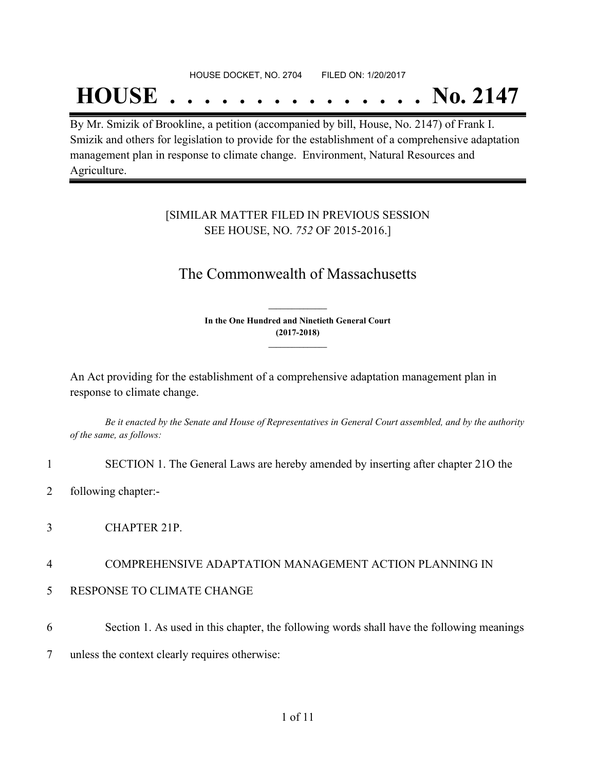### HOUSE DOCKET, NO. 2704 FILED ON: 1/20/2017

## **HOUSE . . . . . . . . . . . . . . . No. 2147**

By Mr. Smizik of Brookline, a petition (accompanied by bill, House, No. 2147) of Frank I. Smizik and others for legislation to provide for the establishment of a comprehensive adaptation management plan in response to climate change. Environment, Natural Resources and Agriculture.

## [SIMILAR MATTER FILED IN PREVIOUS SESSION SEE HOUSE, NO. *752* OF 2015-2016.]

## The Commonwealth of Massachusetts

**In the One Hundred and Ninetieth General Court (2017-2018) \_\_\_\_\_\_\_\_\_\_\_\_\_\_\_**

**\_\_\_\_\_\_\_\_\_\_\_\_\_\_\_**

An Act providing for the establishment of a comprehensive adaptation management plan in response to climate change.

Be it enacted by the Senate and House of Representatives in General Court assembled, and by the authority *of the same, as follows:*

1 SECTION 1. The General Laws are hereby amended by inserting after chapter 21O the

- 2 following chapter:-
- 3 CHAPTER 21P.

## 4 COMPREHENSIVE ADAPTATION MANAGEMENT ACTION PLANNING IN

- 5 RESPONSE TO CLIMATE CHANGE
- 6 Section 1. As used in this chapter, the following words shall have the following meanings
- 7 unless the context clearly requires otherwise: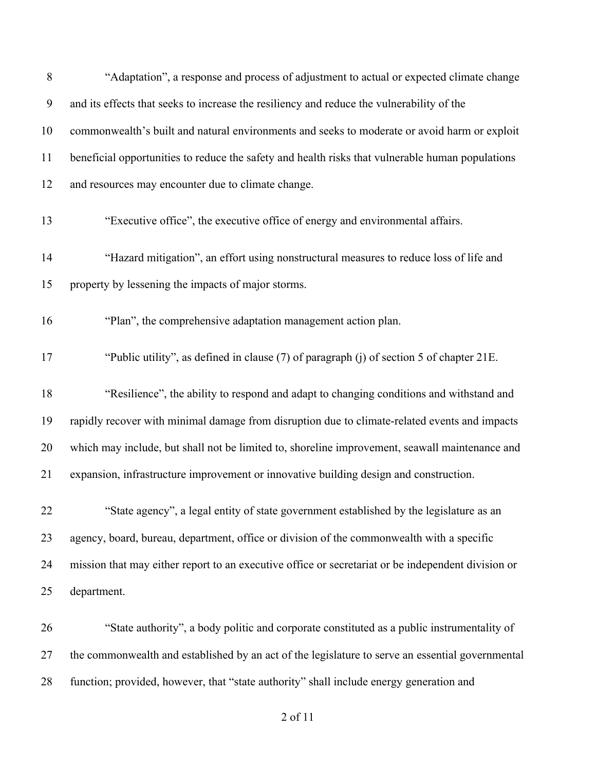| 8  | "Adaptation", a response and process of adjustment to actual or expected climate change            |
|----|----------------------------------------------------------------------------------------------------|
| 9  | and its effects that seeks to increase the resiliency and reduce the vulnerability of the          |
| 10 | commonwealth's built and natural environments and seeks to moderate or avoid harm or exploit       |
| 11 | beneficial opportunities to reduce the safety and health risks that vulnerable human populations   |
| 12 | and resources may encounter due to climate change.                                                 |
| 13 | "Executive office", the executive office of energy and environmental affairs.                      |
| 14 | "Hazard mitigation", an effort using nonstructural measures to reduce loss of life and             |
| 15 | property by lessening the impacts of major storms.                                                 |
| 16 | "Plan", the comprehensive adaptation management action plan.                                       |
| 17 | "Public utility", as defined in clause (7) of paragraph (j) of section 5 of chapter 21E.           |
| 18 | "Resilience", the ability to respond and adapt to changing conditions and withstand and            |
| 19 | rapidly recover with minimal damage from disruption due to climate-related events and impacts      |
| 20 | which may include, but shall not be limited to, shoreline improvement, seawall maintenance and     |
| 21 | expansion, infrastructure improvement or innovative building design and construction.              |
| 22 | "State agency", a legal entity of state government established by the legislature as an            |
| 23 | agency, board, bureau, department, office or division of the commonwealth with a specific          |
| 24 | mission that may either report to an executive office or secretariat or be independent division or |
| 25 | department.                                                                                        |
| 26 | "State authority", a body politic and corporate constituted as a public instrumentality of         |
| 27 | the commonwealth and established by an act of the legislature to serve an essential governmental   |
|    |                                                                                                    |

function; provided, however, that "state authority" shall include energy generation and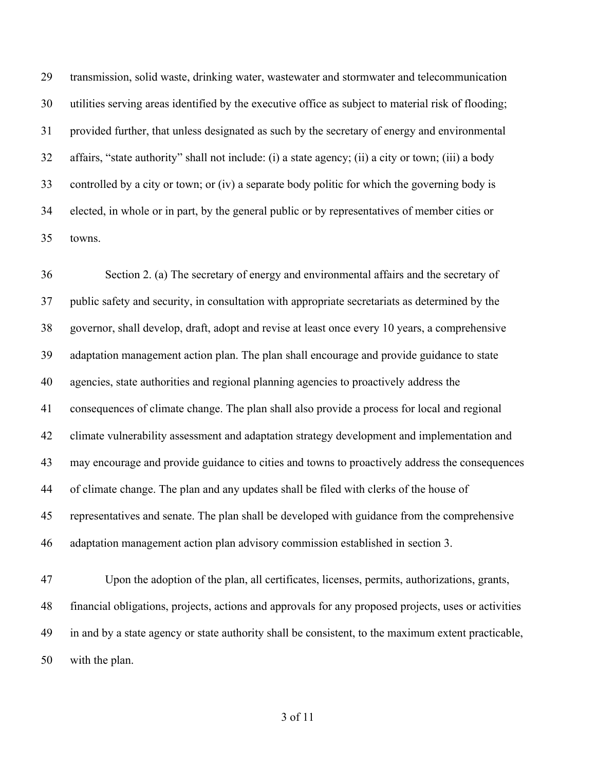transmission, solid waste, drinking water, wastewater and stormwater and telecommunication utilities serving areas identified by the executive office as subject to material risk of flooding; provided further, that unless designated as such by the secretary of energy and environmental affairs, "state authority" shall not include: (i) a state agency; (ii) a city or town; (iii) a body controlled by a city or town; or (iv) a separate body politic for which the governing body is elected, in whole or in part, by the general public or by representatives of member cities or towns.

 Section 2. (a) The secretary of energy and environmental affairs and the secretary of public safety and security, in consultation with appropriate secretariats as determined by the governor, shall develop, draft, adopt and revise at least once every 10 years, a comprehensive adaptation management action plan. The plan shall encourage and provide guidance to state agencies, state authorities and regional planning agencies to proactively address the consequences of climate change. The plan shall also provide a process for local and regional climate vulnerability assessment and adaptation strategy development and implementation and may encourage and provide guidance to cities and towns to proactively address the consequences of climate change. The plan and any updates shall be filed with clerks of the house of representatives and senate. The plan shall be developed with guidance from the comprehensive adaptation management action plan advisory commission established in section 3. Upon the adoption of the plan, all certificates, licenses, permits, authorizations, grants,

 financial obligations, projects, actions and approvals for any proposed projects, uses or activities in and by a state agency or state authority shall be consistent, to the maximum extent practicable, with the plan.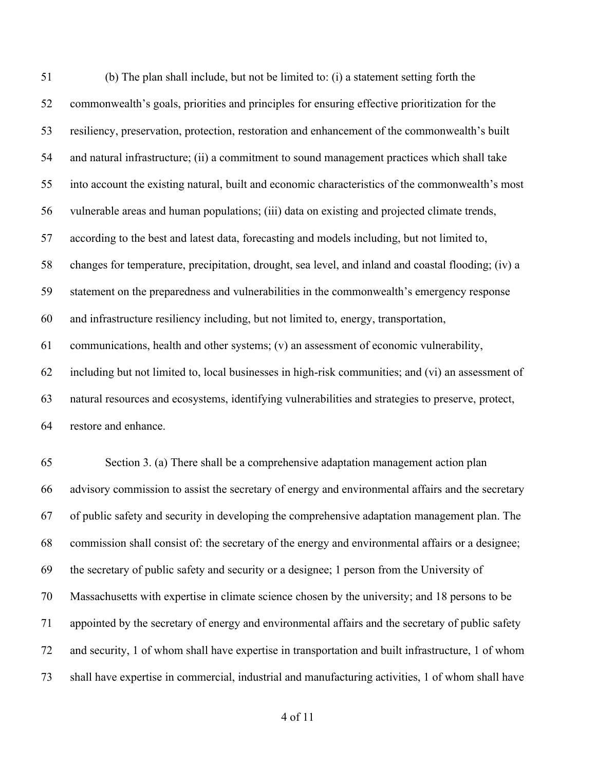(b) The plan shall include, but not be limited to: (i) a statement setting forth the commonwealth's goals, priorities and principles for ensuring effective prioritization for the resiliency, preservation, protection, restoration and enhancement of the commonwealth's built and natural infrastructure; (ii) a commitment to sound management practices which shall take into account the existing natural, built and economic characteristics of the commonwealth's most vulnerable areas and human populations; (iii) data on existing and projected climate trends, according to the best and latest data, forecasting and models including, but not limited to, changes for temperature, precipitation, drought, sea level, and inland and coastal flooding; (iv) a statement on the preparedness and vulnerabilities in the commonwealth's emergency response and infrastructure resiliency including, but not limited to, energy, transportation, communications, health and other systems; (v) an assessment of economic vulnerability, including but not limited to, local businesses in high-risk communities; and (vi) an assessment of natural resources and ecosystems, identifying vulnerabilities and strategies to preserve, protect, restore and enhance. Section 3. (a) There shall be a comprehensive adaptation management action plan advisory commission to assist the secretary of energy and environmental affairs and the secretary of public safety and security in developing the comprehensive adaptation management plan. The commission shall consist of: the secretary of the energy and environmental affairs or a designee; the secretary of public safety and security or a designee; 1 person from the University of Massachusetts with expertise in climate science chosen by the university; and 18 persons to be

appointed by the secretary of energy and environmental affairs and the secretary of public safety

and security, 1 of whom shall have expertise in transportation and built infrastructure, 1 of whom

shall have expertise in commercial, industrial and manufacturing activities, 1 of whom shall have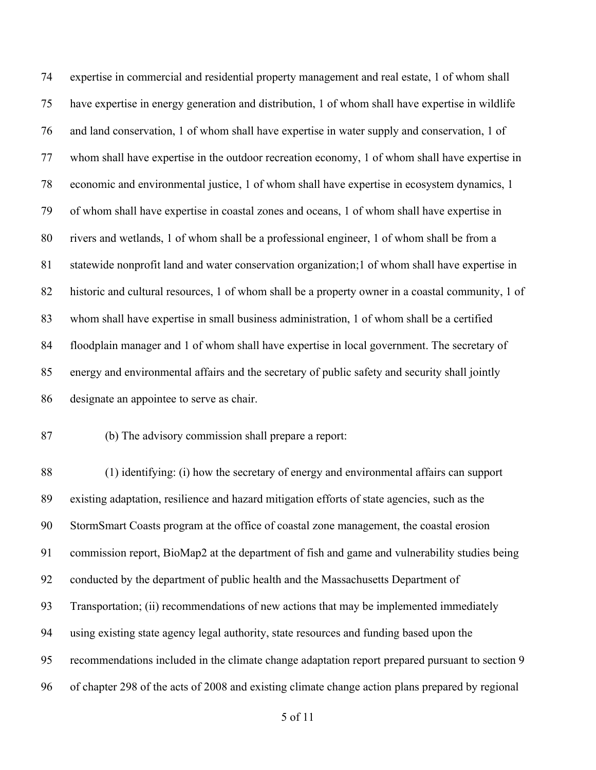expertise in commercial and residential property management and real estate, 1 of whom shall have expertise in energy generation and distribution, 1 of whom shall have expertise in wildlife and land conservation, 1 of whom shall have expertise in water supply and conservation, 1 of whom shall have expertise in the outdoor recreation economy, 1 of whom shall have expertise in economic and environmental justice, 1 of whom shall have expertise in ecosystem dynamics, 1 of whom shall have expertise in coastal zones and oceans, 1 of whom shall have expertise in rivers and wetlands, 1 of whom shall be a professional engineer, 1 of whom shall be from a statewide nonprofit land and water conservation organization;1 of whom shall have expertise in historic and cultural resources, 1 of whom shall be a property owner in a coastal community, 1 of whom shall have expertise in small business administration, 1 of whom shall be a certified floodplain manager and 1 of whom shall have expertise in local government. The secretary of energy and environmental affairs and the secretary of public safety and security shall jointly designate an appointee to serve as chair.

### (b) The advisory commission shall prepare a report:

 (1) identifying: (i) how the secretary of energy and environmental affairs can support existing adaptation, resilience and hazard mitigation efforts of state agencies, such as the StormSmart Coasts program at the office of coastal zone management, the coastal erosion commission report, BioMap2 at the department of fish and game and vulnerability studies being conducted by the department of public health and the Massachusetts Department of Transportation; (ii) recommendations of new actions that may be implemented immediately using existing state agency legal authority, state resources and funding based upon the recommendations included in the climate change adaptation report prepared pursuant to section 9 of chapter 298 of the acts of 2008 and existing climate change action plans prepared by regional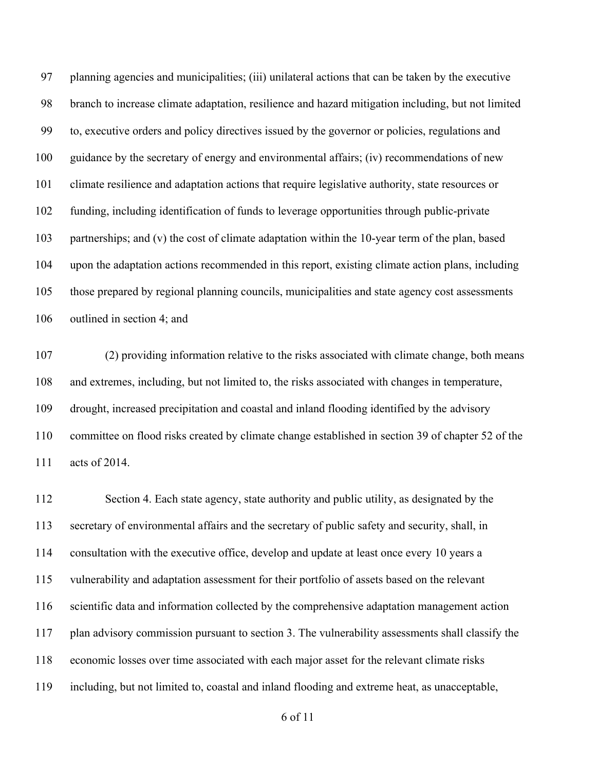planning agencies and municipalities; (iii) unilateral actions that can be taken by the executive branch to increase climate adaptation, resilience and hazard mitigation including, but not limited to, executive orders and policy directives issued by the governor or policies, regulations and guidance by the secretary of energy and environmental affairs; (iv) recommendations of new climate resilience and adaptation actions that require legislative authority, state resources or funding, including identification of funds to leverage opportunities through public-private partnerships; and (v) the cost of climate adaptation within the 10-year term of the plan, based upon the adaptation actions recommended in this report, existing climate action plans, including those prepared by regional planning councils, municipalities and state agency cost assessments outlined in section 4; and

 (2) providing information relative to the risks associated with climate change, both means and extremes, including, but not limited to, the risks associated with changes in temperature, drought, increased precipitation and coastal and inland flooding identified by the advisory committee on flood risks created by climate change established in section 39 of chapter 52 of the acts of 2014.

 Section 4. Each state agency, state authority and public utility, as designated by the secretary of environmental affairs and the secretary of public safety and security, shall, in consultation with the executive office, develop and update at least once every 10 years a vulnerability and adaptation assessment for their portfolio of assets based on the relevant scientific data and information collected by the comprehensive adaptation management action plan advisory commission pursuant to section 3. The vulnerability assessments shall classify the economic losses over time associated with each major asset for the relevant climate risks including, but not limited to, coastal and inland flooding and extreme heat, as unacceptable,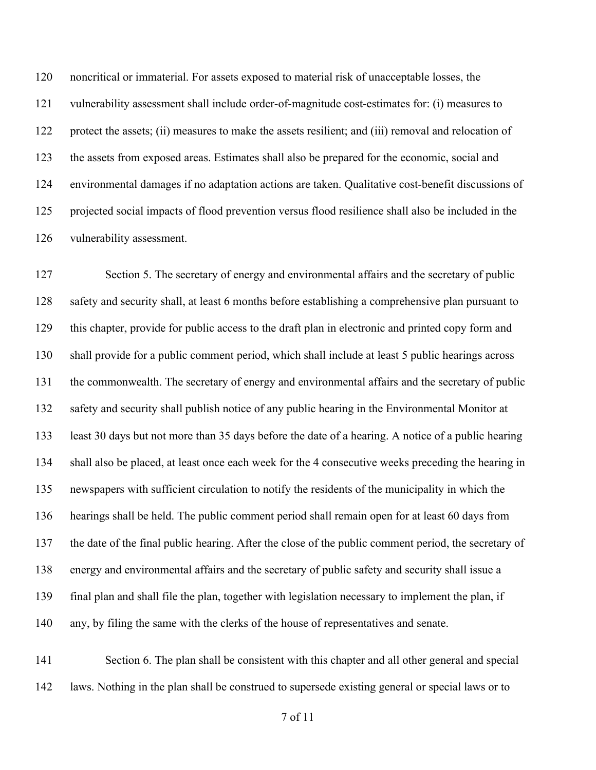noncritical or immaterial. For assets exposed to material risk of unacceptable losses, the vulnerability assessment shall include order-of-magnitude cost-estimates for: (i) measures to protect the assets; (ii) measures to make the assets resilient; and (iii) removal and relocation of the assets from exposed areas. Estimates shall also be prepared for the economic, social and environmental damages if no adaptation actions are taken. Qualitative cost-benefit discussions of projected social impacts of flood prevention versus flood resilience shall also be included in the vulnerability assessment.

 Section 5. The secretary of energy and environmental affairs and the secretary of public safety and security shall, at least 6 months before establishing a comprehensive plan pursuant to this chapter, provide for public access to the draft plan in electronic and printed copy form and shall provide for a public comment period, which shall include at least 5 public hearings across the commonwealth. The secretary of energy and environmental affairs and the secretary of public safety and security shall publish notice of any public hearing in the Environmental Monitor at least 30 days but not more than 35 days before the date of a hearing. A notice of a public hearing shall also be placed, at least once each week for the 4 consecutive weeks preceding the hearing in newspapers with sufficient circulation to notify the residents of the municipality in which the hearings shall be held. The public comment period shall remain open for at least 60 days from the date of the final public hearing. After the close of the public comment period, the secretary of energy and environmental affairs and the secretary of public safety and security shall issue a final plan and shall file the plan, together with legislation necessary to implement the plan, if any, by filing the same with the clerks of the house of representatives and senate.

 Section 6. The plan shall be consistent with this chapter and all other general and special laws. Nothing in the plan shall be construed to supersede existing general or special laws or to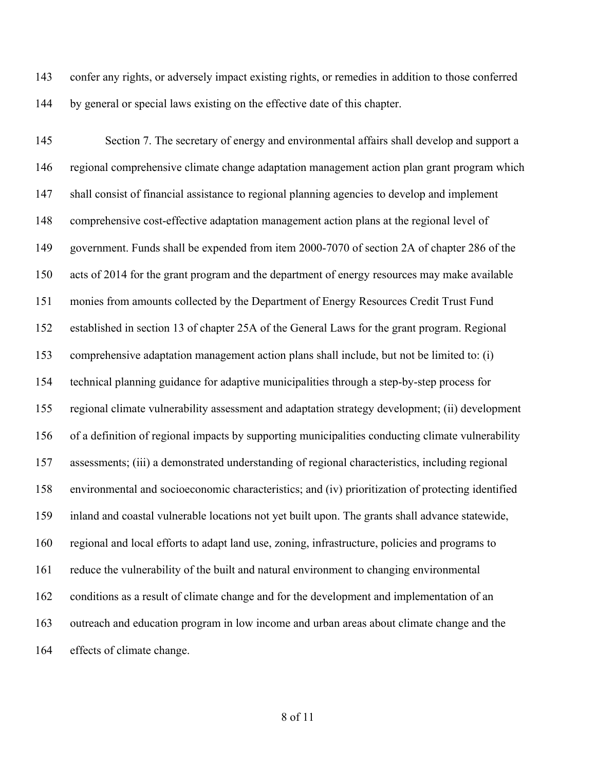confer any rights, or adversely impact existing rights, or remedies in addition to those conferred by general or special laws existing on the effective date of this chapter.

145 Section 7. The secretary of energy and environmental affairs shall develop and support a regional comprehensive climate change adaptation management action plan grant program which shall consist of financial assistance to regional planning agencies to develop and implement comprehensive cost-effective adaptation management action plans at the regional level of government. Funds shall be expended from item 2000-7070 of section 2A of chapter 286 of the acts of 2014 for the grant program and the department of energy resources may make available monies from amounts collected by the Department of Energy Resources Credit Trust Fund established in section 13 of chapter 25A of the General Laws for the grant program. Regional comprehensive adaptation management action plans shall include, but not be limited to: (i) technical planning guidance for adaptive municipalities through a step-by-step process for regional climate vulnerability assessment and adaptation strategy development; (ii) development of a definition of regional impacts by supporting municipalities conducting climate vulnerability assessments; (iii) a demonstrated understanding of regional characteristics, including regional environmental and socioeconomic characteristics; and (iv) prioritization of protecting identified inland and coastal vulnerable locations not yet built upon. The grants shall advance statewide, regional and local efforts to adapt land use, zoning, infrastructure, policies and programs to reduce the vulnerability of the built and natural environment to changing environmental conditions as a result of climate change and for the development and implementation of an outreach and education program in low income and urban areas about climate change and the effects of climate change.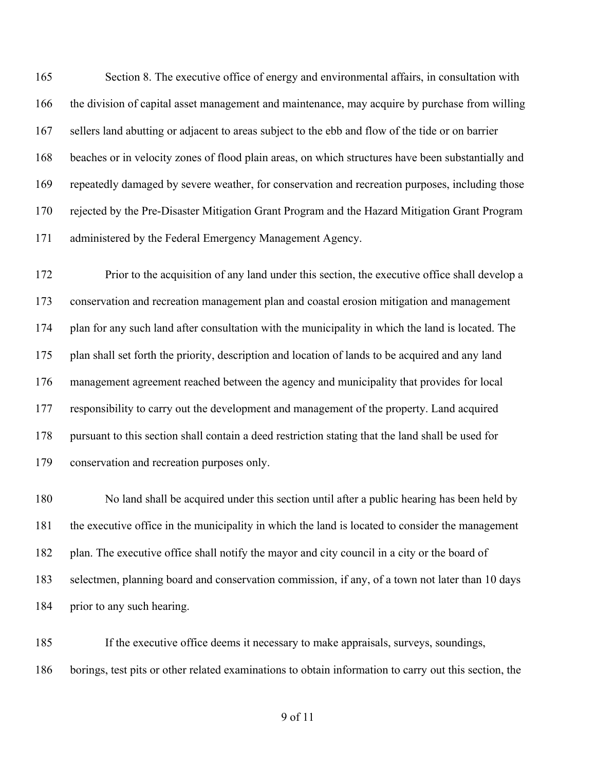Section 8. The executive office of energy and environmental affairs, in consultation with the division of capital asset management and maintenance, may acquire by purchase from willing sellers land abutting or adjacent to areas subject to the ebb and flow of the tide or on barrier beaches or in velocity zones of flood plain areas, on which structures have been substantially and repeatedly damaged by severe weather, for conservation and recreation purposes, including those rejected by the Pre-Disaster Mitigation Grant Program and the Hazard Mitigation Grant Program administered by the Federal Emergency Management Agency.

 Prior to the acquisition of any land under this section, the executive office shall develop a conservation and recreation management plan and coastal erosion mitigation and management plan for any such land after consultation with the municipality in which the land is located. The plan shall set forth the priority, description and location of lands to be acquired and any land management agreement reached between the agency and municipality that provides for local responsibility to carry out the development and management of the property. Land acquired pursuant to this section shall contain a deed restriction stating that the land shall be used for conservation and recreation purposes only.

 No land shall be acquired under this section until after a public hearing has been held by the executive office in the municipality in which the land is located to consider the management 182 plan. The executive office shall notify the mayor and city council in a city or the board of selectmen, planning board and conservation commission, if any, of a town not later than 10 days prior to any such hearing.

 If the executive office deems it necessary to make appraisals, surveys, soundings, borings, test pits or other related examinations to obtain information to carry out this section, the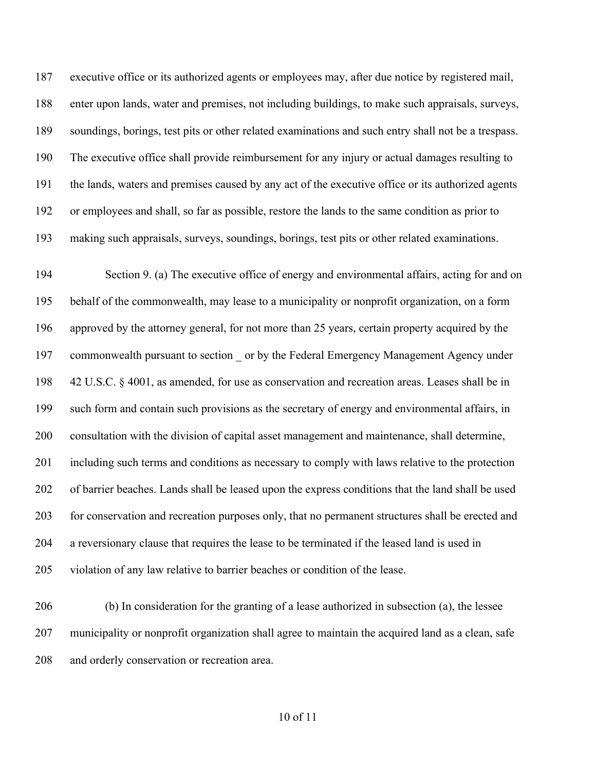executive office or its authorized agents or employees may, after due notice by registered mail, enter upon lands, water and premises, not including buildings, to make such appraisals, surveys, soundings, borings, test pits or other related examinations and such entry shall not be a trespass. The executive office shall provide reimbursement for any injury or actual damages resulting to the lands, waters and premises caused by any act of the executive office or its authorized agents or employees and shall, so far as possible, restore the lands to the same condition as prior to making such appraisals, surveys, soundings, borings, test pits or other related examinations.

 Section 9. (a) The executive office of energy and environmental affairs, acting for and on behalf of the commonwealth, may lease to a municipality or nonprofit organization, on a form approved by the attorney general, for not more than 25 years, certain property acquired by the commonwealth pursuant to section \_ or by the Federal Emergency Management Agency under 42 U.S.C. § 4001, as amended, for use as conservation and recreation areas. Leases shall be in such form and contain such provisions as the secretary of energy and environmental affairs, in consultation with the division of capital asset management and maintenance, shall determine, including such terms and conditions as necessary to comply with laws relative to the protection of barrier beaches. Lands shall be leased upon the express conditions that the land shall be used for conservation and recreation purposes only, that no permanent structures shall be erected and a reversionary clause that requires the lease to be terminated if the leased land is used in violation of any law relative to barrier beaches or condition of the lease.

 (b) In consideration for the granting of a lease authorized in subsection (a), the lessee municipality or nonprofit organization shall agree to maintain the acquired land as a clean, safe 208 and orderly conservation or recreation area.